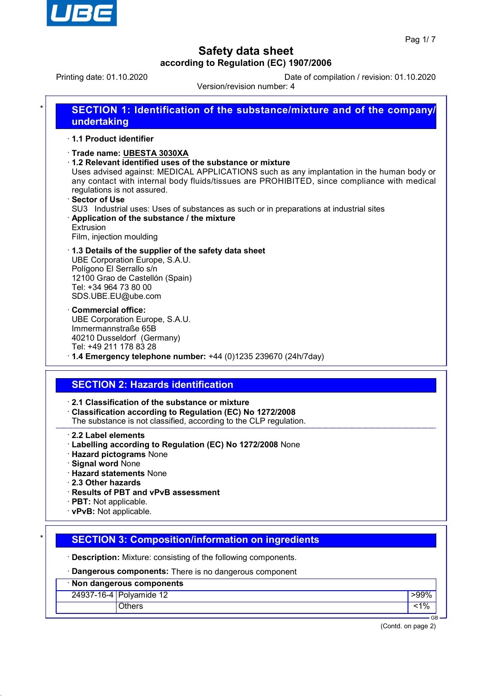

Printing date: 01.10.2020 Date of compilation / revision: 01.10.2020

Version/revision number: 4

| 1.1 Product identifier                                                                               |                                                                                                                                                                                                                                                                                                                                                                                                                                                                                       |
|------------------------------------------------------------------------------------------------------|---------------------------------------------------------------------------------------------------------------------------------------------------------------------------------------------------------------------------------------------------------------------------------------------------------------------------------------------------------------------------------------------------------------------------------------------------------------------------------------|
| · Sector of Use<br>Extrusion                                                                         | · Trade name: UBESTA 3030XA<br>1.2 Relevant identified uses of the substance or mixture<br>Uses advised against: MEDICAL APPLICATIONS such as any implantation in the human body or<br>any contact with internal body fluids/tissues are PROHIBITED, since compliance with medical<br>regulations is not assured.<br>SU3 Industrial uses: Uses of substances as such or in preparations at industrial sites<br>Application of the substance / the mixture<br>Film, injection moulding |
| Tel: +34 964 73 80 00                                                                                | 1.3 Details of the supplier of the safety data sheet<br>UBE Corporation Europe, S.A.U.<br>Polígono El Serrallo s/n<br>12100 Grao de Castellón (Spain)<br>SDS.UBE.EU@ube.com                                                                                                                                                                                                                                                                                                           |
| <b>Commercial office:</b>                                                                            | UBE Corporation Europe, S.A.U.<br>Immermannstraße 65B<br>40210 Dusseldorf (Germany)<br>Tel: +49 211 178 83 28<br>$\cdot$ 1.4 Emergency telephone number: +44 (0)1235 239670 (24h/7day)                                                                                                                                                                                                                                                                                                |
|                                                                                                      | <b>SECTION 2: Hazards identification</b>                                                                                                                                                                                                                                                                                                                                                                                                                                              |
|                                                                                                      | 2.1 Classification of the substance or mixture<br>Classification according to Regulation (EC) No 1272/2008<br>The substance is not classified, according to the CLP regulation.                                                                                                                                                                                                                                                                                                       |
| 2.2 Label elements<br><b>Signal word None</b><br>$\cdot$ 2.3 Other hazards<br>· PBT: Not applicable. | · Labelling according to Regulation (EC) No 1272/2008 None<br><b>Hazard pictograms None</b><br><b>Hazard statements None</b><br>· Results of PBT and vPvB assessment                                                                                                                                                                                                                                                                                                                  |

# **SECTION 3: Composition/information on ingredients**

· **Description:** Mixture: consisting of the following components.

· **Dangerous components:** There is no dangerous component

| · Non dangerous components |                         |      |  |  |
|----------------------------|-------------------------|------|--|--|
|                            | 24937-16-4 Polyamide 12 | >99% |  |  |
|                            | Others                  |      |  |  |
|                            |                         | GE   |  |  |

(Contd. on page 2)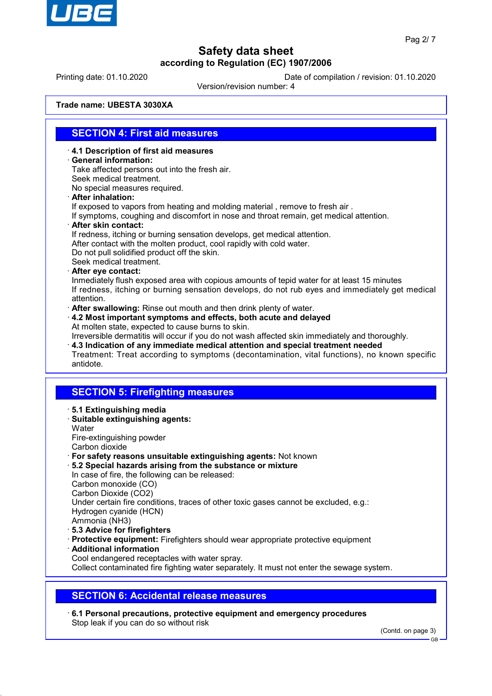

Printing date: 01.10.2020 Date of compilation / revision: 01.10.2020

Version/revision number: 4

**Trade name: UBESTA 3030XA**

#### **SECTION 4: First aid measures**

- · **4.1 Description of first aid measures**
- · **General information:**
- Take affected persons out into the fresh air. Seek medical treatment.
- No special measures required.
- · **After inhalation:**

If exposed to vapors from heating and molding material , remove to fresh air .

If symptoms, coughing and discomfort in nose and throat remain, get medical attention.

· **After skin contact:**

If redness, itching or burning sensation develops, get medical attention.

After contact with the molten product, cool rapidly with cold water.

Do not pull solidified product off the skin.

- Seek medical treatment.
- · **After eye contact:**

Inmediately flush exposed area with copious amounts of tepid water for at least 15 minutes If redness, itching or burning sensation develops, do not rub eyes and immediately get medical attention.

- · **After swallowing:** Rinse out mouth and then drink plenty of water.
- · **4.2 Most important symptoms and effects, both acute and delayed** At molten state, expected to cause burns to skin.

Irreversible dermatitis will occur if you do not wash affected skin immediately and thoroughly. · **4.3 Indication of any immediate medical attention and special treatment needed**

Treatment: Treat according to symptoms (decontamination, vital functions), no known specific antidote.

### **SECTION 5: Firefighting measures**

- · **5.1 Extinguishing media** · **Suitable extinguishing agents:**
- **Water** Fire-extinguishing powder Carbon dioxide
- · **For safety reasons unsuitable extinguishing agents:** Not known
- · **5.2 Special hazards arising from the substance or mixture**

In case of fire, the following can be released: Carbon monoxide (CO) Carbon Dioxide (CO2) Under certain fire conditions, traces of other toxic gases cannot be excluded, e.g.: Hydrogen cyanide (HCN)

- Ammonia (NH3)
- · **5.3 Advice for firefighters**
- · **Protective equipment:** Firefighters should wear appropriate protective equipment
- · **Additional information**
- Cool endangered receptacles with water spray.

Collect contaminated fire fighting water separately. It must not enter the sewage system.

#### **SECTION 6: Accidental release measures**

· **6.1 Personal precautions, protective equipment and emergency procedures** Stop leak if you can do so without risk

(Contd. on page 3)

GB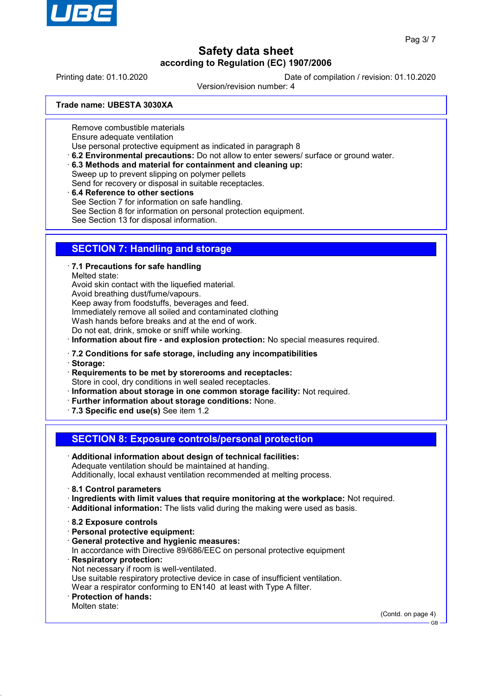

Printing date: 01.10.2020 Date of compilation / revision: 01.10.2020

Version/revision number: 4

**Trade name: UBESTA 3030XA**

Remove combustible materials Ensure adequate ventilation

Use personal protective equipment as indicated in paragraph 8

- · **6.2 Environmental precautions:** Do not allow to enter sewers/ surface or ground water.
- · **6.3 Methods and material for containment and cleaning up:**

Sweep up to prevent slipping on polymer pellets

Send for recovery or disposal in suitable receptacles.

· **6.4 Reference to other sections**

See Section 7 for information on safe handling.

See Section 8 for information on personal protection equipment.

See Section 13 for disposal information.

### **SECTION 7: Handling and storage**

· **7.1 Precautions for safe handling**

Melted state:

Avoid skin contact with the liquefied material.

Avoid breathing dust/fume/vapours.

Keep away from foodstuffs, beverages and feed.

Immediately remove all soiled and contaminated clothing

Wash hands before breaks and at the end of work.

Do not eat, drink, smoke or sniff while working.

· **Information about fire - and explosion protection:** No special measures required.

- · **7.2 Conditions for safe storage, including any incompatibilities**
- · **Storage:**

· **Requirements to be met by storerooms and receptacles:** Store in cool, dry conditions in well sealed receptacles.

· **Information about storage in one common storage facility:** Not required.

- · **Further information about storage conditions:** None.
- · **7.3 Specific end use(s)** See item 1.2

**SECTION 8: Exposure controls/personal protection**

- · **Additional information about design of technical facilities:** Adequate ventilation should be maintained at handing. Additionally, local exhaust ventilation recommended at melting process.
- · **8.1 Control parameters**
- · **Ingredients with limit values that require monitoring at the workplace:** Not required.
- · **Additional information:** The lists valid during the making were used as basis.
- · **8.2 Exposure controls**
- · **Personal protective equipment:**
- · **General protective and hygienic measures:** In accordance with Directive 89/686/EEC on personal protective equipment · **Respiratory protection:** Not necessary if room is well-ventilated. Use suitable respiratory protective device in case of insufficient ventilation. Wear a respirator conforming to EN140 at least with Type A filter. · **Protection of hands:**
- Molten state:

(Contd. on page 4)

GB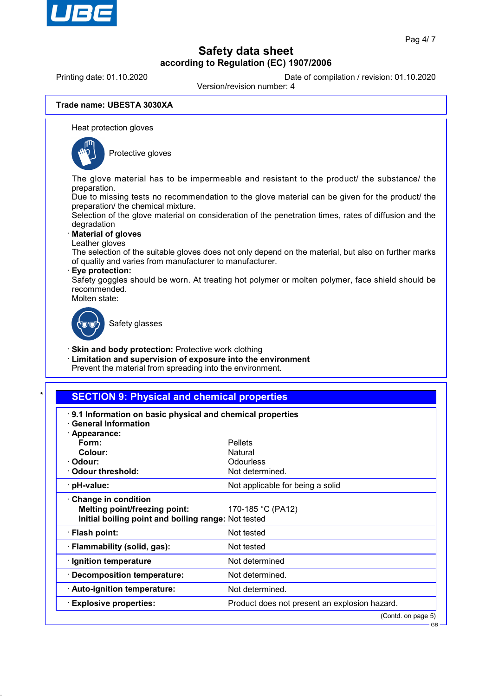

Printing date: 01.10.2020 **Date of compilation / revision: 01.10.2020** 

Version/revision number: 4

#### **Trade name: UBESTA 3030XA**

Heat protection gloves



Protective gloves

The glove material has to be impermeable and resistant to the product/ the substance/ the preparation.

Due to missing tests no recommendation to the glove material can be given for the product/ the preparation/ the chemical mixture.

Selection of the glove material on consideration of the penetration times, rates of diffusion and the degradation

#### · **Material of gloves**

Leather gloves

The selection of the suitable gloves does not only depend on the material, but also on further marks of quality and varies from manufacturer to manufacturer.

#### · **Eye protection:**

Safety goggles should be worn. At treating hot polymer or molten polymer, face shield should be recommended.

Molten state:



Safety glasses

· **Skin and body protection:** Protective work clothing

· **Limitation and supervision of exposure into the environment**

Prevent the material from spreading into the environment.

#### **SECTION 9: Physical and chemical properties**

| 9.1 Information on basic physical and chemical properties<br><b>General Information</b><br>· Appearance:           |                                               |
|--------------------------------------------------------------------------------------------------------------------|-----------------------------------------------|
| Form:                                                                                                              | <b>Pellets</b>                                |
| Colour:                                                                                                            | Natural                                       |
| · Odour:                                                                                                           | Odourless                                     |
| Odour threshold:                                                                                                   | Not determined.                               |
| · pH-value:                                                                                                        | Not applicable for being a solid              |
| <b>Change in condition</b><br>Melting point/freezing point:<br>Initial boiling point and boiling range: Not tested | 170-185 °C (PA12)                             |
| · Flash point:                                                                                                     | Not tested                                    |
| · Flammability (solid, gas):                                                                                       | Not tested                                    |
| · Ignition temperature                                                                                             | Not determined                                |
| · Decomposition temperature:                                                                                       | Not determined.                               |
| $\cdot$ Auto-ignition temperature:                                                                                 | Not determined.                               |
| <b>Explosive properties:</b>                                                                                       | Product does not present an explosion hazard. |
|                                                                                                                    | (Contd. on page 5)                            |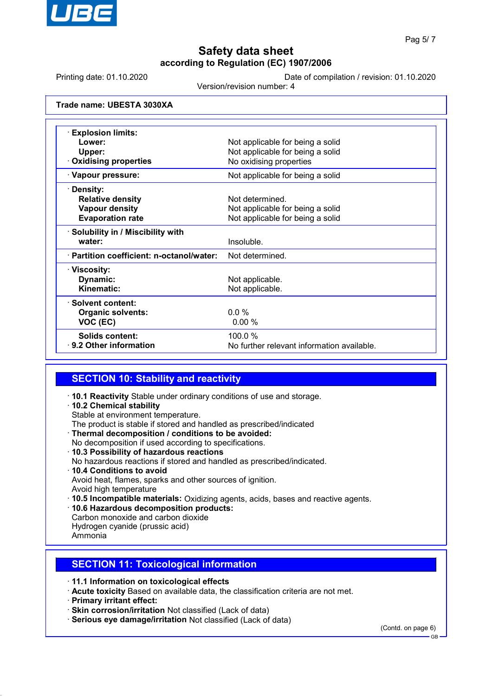

Printing date: 01.10.2020 Date of compilation / revision: 01.10.2020

Version/revision number: 4

**Trade name: UBESTA 3030XA**

| $\cdot$ Explosion limits:                 |                                            |
|-------------------------------------------|--------------------------------------------|
| Lower:                                    | Not applicable for being a solid           |
| Upper:                                    | Not applicable for being a solid           |
| <b>Oxidising properties</b>               | No oxidising properties                    |
| · Vapour pressure:                        | Not applicable for being a solid           |
| · Density:                                |                                            |
| <b>Relative density</b>                   | Not determined.                            |
| <b>Vapour density</b>                     | Not applicable for being a solid           |
| <b>Evaporation rate</b>                   | Not applicable for being a solid           |
| · Solubility in / Miscibility with        |                                            |
| water:                                    | Insoluble.                                 |
| · Partition coefficient: n-octanol/water: | Not determined.                            |
| · Viscosity:                              |                                            |
| Dynamic:                                  | Not applicable.                            |
| Kinematic:                                | Not applicable.                            |
| · Solvent content:                        |                                            |
| <b>Organic solvents:</b>                  | $0.0\%$                                    |
| VOC (EC)                                  | 0.00%                                      |
| Solids content:                           | 100.0%                                     |
| $\cdot$ 9.2 Other information             | No further relevant information available. |

### **SECTION 10: Stability and reactivity**

- · **10.1 Reactivity** Stable under ordinary conditions of use and storage.
- · **10.2 Chemical stability**
- Stable at environment temperature.
- The product is stable if stored and handled as prescribed/indicated
- · **Thermal decomposition / conditions to be avoided:** No decomposition if used according to specifications.
- · **10.3 Possibility of hazardous reactions** No hazardous reactions if stored and handled as prescribed/indicated. · **10.4 Conditions to avoid** Avoid heat, flames, sparks and other sources of ignition. Avoid high temperature
- · **10.5 Incompatible materials:** Oxidizing agents, acids, bases and reactive agents.
- · **10.6 Hazardous decomposition products:**
- Carbon monoxide and carbon dioxide Hydrogen cyanide (prussic acid)
- Ammonia

### **SECTION 11: Toxicological information**

- · **11.1 Information on toxicological effects**
- · **Acute toxicity** Based on available data, the classification criteria are not met.
- · **Primary irritant effect:**
- · **Skin corrosion/irritation** Not classified (Lack of data)
- · **Serious eye damage/irritation** Not classified (Lack of data)

(Contd. on page 6)

GB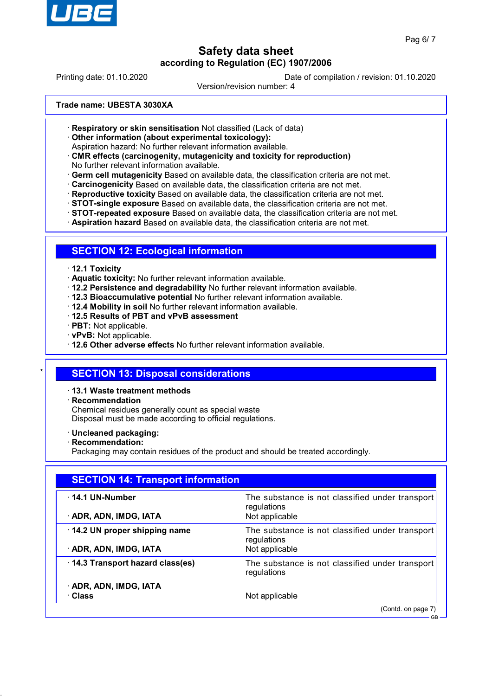

Printing date: 01.10.2020 Date of compilation / revision: 01.10.2020

Version/revision number: 4

**Trade name: UBESTA 3030XA**

- · **Respiratory or skin sensitisation** Not classified (Lack of data)
- · **Other information (about experimental toxicology):**

Aspiration hazard: No further relevant information available.

- · **CMR effects (carcinogenity, mutagenicity and toxicity for reproduction)** No further relevant information available.
- · **Germ cell mutagenicity** Based on available data, the classification criteria are not met.
- · **Carcinogenicity** Based on available data, the classification criteria are not met.
- · **Reproductive toxicity** Based on available data, the classification criteria are not met.
- · **STOT-single exposure** Based on available data, the classification criteria are not met.
- · **STOT-repeated exposure** Based on available data, the classification criteria are not met.
- · **Aspiration hazard** Based on available data, the classification criteria are not met.

#### **SECTION 12: Ecological information**

- · **12.1 Toxicity**
- · **Aquatic toxicity:** No further relevant information available.
- · **12.2 Persistence and degradability** No further relevant information available.
- · **12.3 Bioaccumulative potential** No further relevant information available.
- · **12.4 Mobility in soil** No further relevant information available.
- · **12.5 Results of PBT and vPvB assessment**
- · **PBT:** Not applicable.
- · **vPvB:** Not applicable.

· **12.6 Other adverse effects** No further relevant information available.

### **SECTION 13: Disposal considerations**

#### · **13.1 Waste treatment methods**

· **Recommendation**

Chemical residues generally count as special waste Disposal must be made according to official regulations.

- · **Uncleaned packaging:**
- · **Recommendation:**

Packaging may contain residues of the product and should be treated accordingly.

| <b>SECTION 14: Transport information</b>               |                                                                                  |  |
|--------------------------------------------------------|----------------------------------------------------------------------------------|--|
| $\cdot$ 14.1 UN-Number<br>· ADR, ADN, IMDG, IATA       | The substance is not classified under transport<br>regulations<br>Not applicable |  |
| 14.2 UN proper shipping name<br>· ADR, ADN, IMDG, IATA | The substance is not classified under transport<br>regulations<br>Not applicable |  |
| · 14.3 Transport hazard class(es)                      | The substance is not classified under transport<br>regulations                   |  |
| · ADR, ADN, IMDG, IATA<br>· Class                      | Not applicable                                                                   |  |
|                                                        | (Contd. on page 7)                                                               |  |

GB